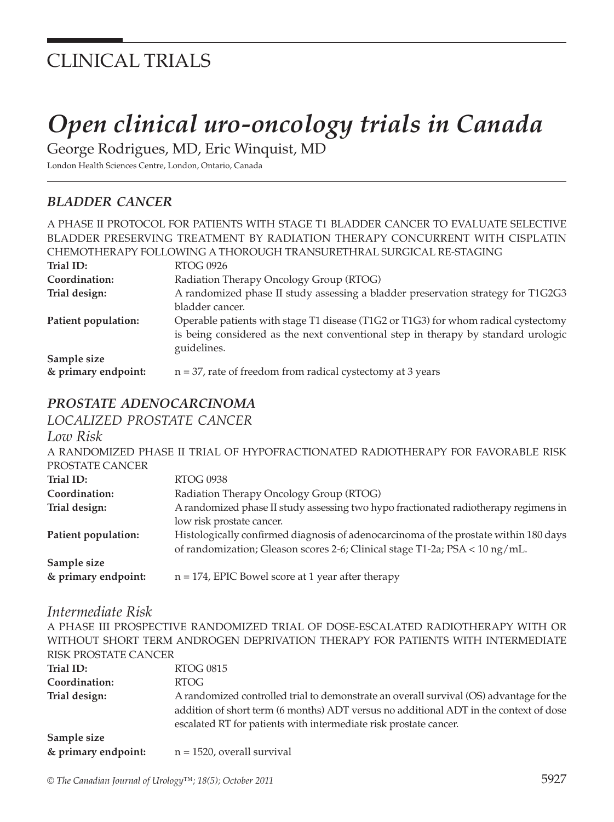# CLINICAL TRIALS

# *Open clinical uro-oncology trials in Canada*

George Rodrigues, MD, Eric Winquist, MD

London Health Sciences Centre, London, Ontario, Canada

# *BLADDER CANCER*

|                     | A PHASE II PROTOCOL FOR PATIENTS WITH STAGE T1 BLADDER CANCER TO EVALUATE SELECTIVE |
|---------------------|-------------------------------------------------------------------------------------|
|                     | BLADDER PRESERVING TREATMENT BY RADIATION THERAPY CONCURRENT WITH CISPLATIN         |
|                     | CHEMOTHERAPY FOLLOWING A THOROUGH TRANSURETHRAL SURGICAL RE-STAGING                 |
| Trial ID:           | RTOG 0926                                                                           |
| Coordination:       | Radiation Therapy Oncology Group (RTOG)                                             |
| Trial design:       | A randomized phase II study assessing a bladder preservation strategy for T1G2G3    |
|                     | bladder cancer.                                                                     |
| Patient population: | Operable patients with stage T1 disease (T1G2 or T1G3) for whom radical cystectomy  |
|                     | is being considered as the next conventional step in therapy by standard urologic   |
|                     | guidelines.                                                                         |
| Sample size         |                                                                                     |
| & primary endpoint: | $n = 37$ , rate of freedom from radical cystectomy at 3 years                       |

## *PROSTATE ADENOCARCINOMA*

*LOCALIZED PROSTATE CANCER*

#### *Low Risk*

A RANDOMIZED PHASE II TRIAL OF HYPOFRACTIONATED RADIOTHERAPY FOR FAVORABLE RISK PROSTATE CANCER **Trial ID:** RTOG 0938 **Coordination:** Radiation Therapy Oncology Group (RTOG) **Trial design:** A randomized phase II study assessing two hypo fractionated radiotherapy regimens in low risk prostate cancer. Patient population: **Histologically confirmed diagnosis of adenocarcinoma of the prostate within 180 days**  of randomization; Gleason scores 2-6; Clinical stage T1-2a; PSA < 10 ng/mL. **Sample size & primary endpoint:** n = 174, EPIC Bowel score at 1 year after therapy

#### *Intermediate Risk*

A PHASE III PROSPECTIVE RANDOMIZED TRIAL OF DOSE-ESCALATED RADIOTHERAPY WITH OR WITHOUT SHORT TERM ANDROGEN DEPRIVATION THERAPY FOR PATIENTS WITH INTERMEDIATE RISK PROSTATE CANCER **Trial ID:** RTOG 0815 **Coordination:** RTOG **Trial design:** A randomized controlled trial to demonstrate an overall survival (OS) advantage for the addition of short term (6 months) ADT versus no additional ADT in the context of dose escalated RT for patients with intermediate risk prostate cancer. **Sample size & primary endpoint:** n = 1520, overall survival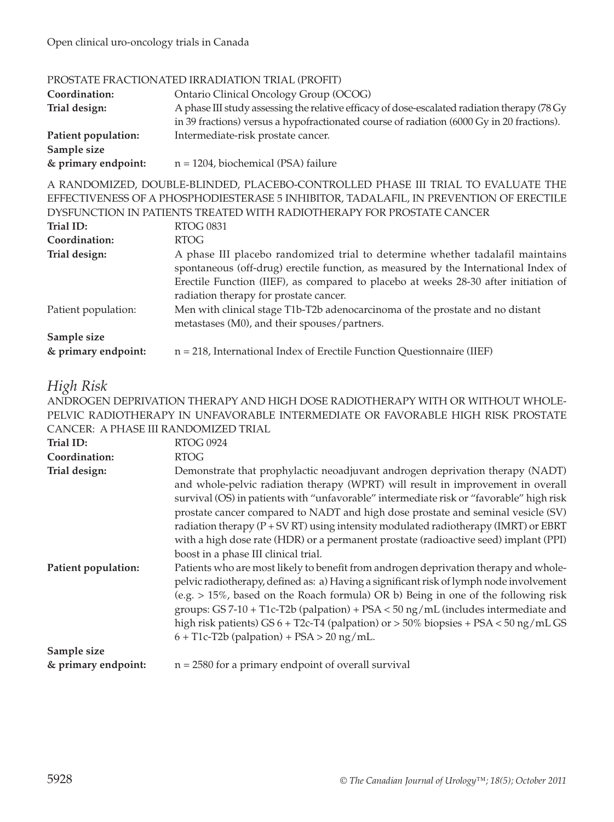#### PROSTATE FRACTIONATED IRRADIATION TRIAL (PROFIT)

| Coordination:       | Ontario Clinical Oncology Group (OCOG)                                                        |
|---------------------|-----------------------------------------------------------------------------------------------|
| Trial design:       | A phase III study assessing the relative efficacy of dose-escalated radiation therapy (78 Gy) |
|                     | in 39 fractions) versus a hypofractionated course of radiation (6000 Gy in 20 fractions).     |
| Patient population: | Intermediate-risk prostate cancer.                                                            |
| Sample size         |                                                                                               |
| & primary endpoint: | $n = 1204$ , biochemical (PSA) failure                                                        |

A RANDOMIZED, DOUBLE-BLINDED, PLACEBO-CONTROLLED PHASE III TRIAL TO EVALUATE THE EFFECTIVENESS OF A PHOSPHODIESTERASE 5 INHIBITOR, TADALAFIL, IN PREVENTION OF ERECTILE DYSFUNCTION IN PATIENTS TREATED WITH RADIOTHERAPY FOR PROSTATE CANCER

| Trial ID:           | <b>RTOG 0831</b>                                                                                                                                                                                                                                            |
|---------------------|-------------------------------------------------------------------------------------------------------------------------------------------------------------------------------------------------------------------------------------------------------------|
| Coordination:       | <b>RTOG</b>                                                                                                                                                                                                                                                 |
| Trial design:       | A phase III placebo randomized trial to determine whether tadalafil maintains<br>spontaneous (off-drug) erectile function, as measured by the International Index of<br>Erectile Function (IIEF), as compared to placebo at weeks 28-30 after initiation of |
|                     | radiation therapy for prostate cancer.                                                                                                                                                                                                                      |
| Patient population: | Men with clinical stage T1b-T2b adenocarcinoma of the prostate and no distant<br>metastases (M0), and their spouses/partners.                                                                                                                               |
| Sample size         |                                                                                                                                                                                                                                                             |
| & primary endpoint: | $n = 218$ , International Index of Erectile Function Questionnaire (IIEF)                                                                                                                                                                                   |

# *High Risk*

ANDROGEN DEPRIVATION THERAPY AND HIGH DOSE RADIOTHERAPY WITH OR WITHOUT WHOLE-PELVIC RADIOTHERAPY IN UNFAVORABLE INTERMEDIATE OR FAVORABLE HIGH RISK PROSTATE CANCER: A PHASE III RANDOMIZED TRIAL

| Trial ID:           | <b>RTOG 0924</b>                                                                                                                                                                                                                                                                                                                                                                                                                                                                                                                                                         |
|---------------------|--------------------------------------------------------------------------------------------------------------------------------------------------------------------------------------------------------------------------------------------------------------------------------------------------------------------------------------------------------------------------------------------------------------------------------------------------------------------------------------------------------------------------------------------------------------------------|
| Coordination:       | <b>RTOG</b>                                                                                                                                                                                                                                                                                                                                                                                                                                                                                                                                                              |
| Trial design:       | Demonstrate that prophylactic neoadjuvant androgen deprivation therapy (NADT)<br>and whole-pelvic radiation therapy (WPRT) will result in improvement in overall<br>survival (OS) in patients with "unfavorable" intermediate risk or "favorable" high risk<br>prostate cancer compared to NADT and high dose prostate and seminal vesicle (SV)<br>radiation therapy $(P + SV RT)$ using intensity modulated radiotherapy (IMRT) or EBRT<br>with a high dose rate (HDR) or a permanent prostate (radioactive seed) implant (PPI)<br>boost in a phase III clinical trial. |
| Patient population: | Patients who are most likely to benefit from androgen deprivation therapy and whole-<br>pelvic radiotherapy, defined as: a) Having a significant risk of lymph node involvement<br>(e.g. $> 15\%$ , based on the Roach formula) OR b) Being in one of the following risk<br>groups: $GS 7-10 + T1c-T2b$ (palpation) + $PSA < 50$ ng/mL (includes intermediate and<br>high risk patients) GS $6 + T2c$ -T4 (palpation) or $> 50\%$ biopsies + PSA $< 50$ ng/mL GS<br>$6 + T1c-T2b$ (palpation) + PSA > 20 ng/mL.                                                          |
| Sample size         |                                                                                                                                                                                                                                                                                                                                                                                                                                                                                                                                                                          |
| & primary endpoint: | $n = 2580$ for a primary endpoint of overall survival                                                                                                                                                                                                                                                                                                                                                                                                                                                                                                                    |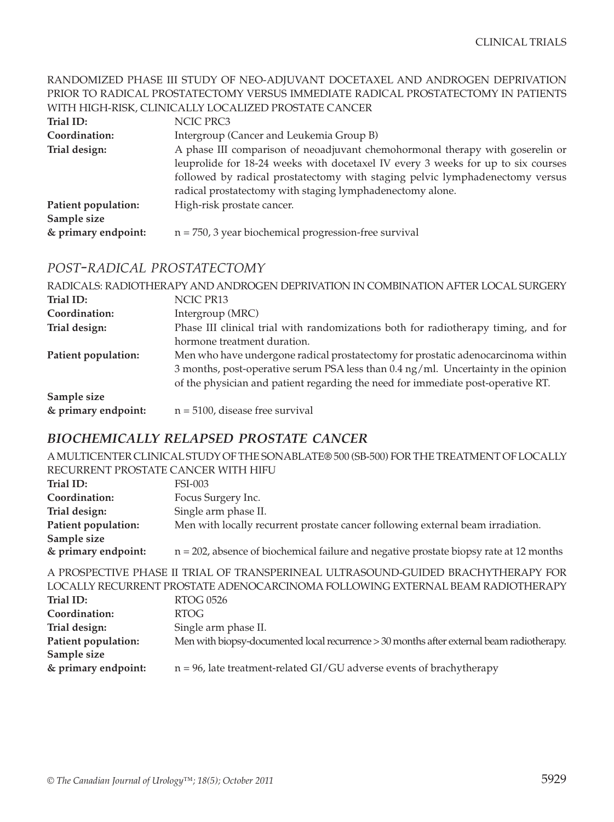#### RANDOMIZED PHASE III STUDY OF NEO-ADJUVANT DOCETAXEL AND ANDROGEN DEPRIVATION PRIOR TO RADICAL PROSTATECTOMY VERSUS IMMEDIATE RADICAL PROSTATECTOMY IN PATIENTS WITH HIGH-RISK, CLINICALLY LOCALIZED PROSTATE CANCER

| Trial ID:           | NCIC PRC3                                                                        |
|---------------------|----------------------------------------------------------------------------------|
| Coordination:       | Intergroup (Cancer and Leukemia Group B)                                         |
| Trial design:       | A phase III comparison of neoadjuvant chemohormonal therapy with goserelin or    |
|                     | leuprolide for 18-24 weeks with docetaxel IV every 3 weeks for up to six courses |
|                     | followed by radical prostatectomy with staging pelvic lymphadenectomy versus     |
|                     | radical prostatectomy with staging lymphadenectomy alone.                        |
| Patient population: | High-risk prostate cancer.                                                       |
| Sample size         |                                                                                  |
| & primary endpoint: | $n = 750$ , 3 year biochemical progression-free survival                         |

#### *POST-RADICAL PROSTATECTOMY*

|                     | RADICALS: RADIOTHERAPY AND ANDROGEN DEPRIVATION IN COMBINATION AFTER LOCAL SURGERY            |
|---------------------|-----------------------------------------------------------------------------------------------|
| Trial ID:           | NCIC PR13                                                                                     |
| Coordination:       | Intergroup (MRC)                                                                              |
| Trial design:       | Phase III clinical trial with randomizations both for radiotherapy timing, and for            |
|                     | hormone treatment duration.                                                                   |
| Patient population: | Men who have undergone radical prostatectomy for prostatic adenocarcinoma within              |
|                     | 3 months, post-operative serum PSA less than $0.4 \text{ ng/ml}$ . Uncertainty in the opinion |
|                     | of the physician and patient regarding the need for immediate post-operative RT.              |
| Sample size         |                                                                                               |
| & primary endpoint: | $n = 5100$ , disease free survival                                                            |

# *BIOCHEMICALLY RELAPSED PROSTATE CANCER*

|                                                                                   | A MULTICENTER CLINICAL STUDY OF THE SONABLATE® 500 (SB-500) FOR THE TREATMENT OF LOCALLY  |  |
|-----------------------------------------------------------------------------------|-------------------------------------------------------------------------------------------|--|
| RECURRENT PROSTATE CANCER WITH HIFU                                               |                                                                                           |  |
| Trial ID:                                                                         | <b>FSI-003</b>                                                                            |  |
| Coordination:                                                                     | Focus Surgery Inc.                                                                        |  |
| Trial design:                                                                     | Single arm phase II.                                                                      |  |
| Patient population:                                                               | Men with locally recurrent prostate cancer following external beam irradiation.           |  |
| Sample size                                                                       |                                                                                           |  |
| & primary endpoint:                                                               | $n = 202$ , absence of biochemical failure and negative prostate biopsy rate at 12 months |  |
| A PROSPECTIVE PHASE II TRIAL OF TRANSPERINEAL ULTRASOUND-GUIDED BRACHYTHERAPY FOR |                                                                                           |  |
| LOCALLY RECURRENT PROSTATE ADENOCARCINOMA FOLLOWING EXTERNAL BEAM RADIOTHERAPY    |                                                                                           |  |
| Trial ID:                                                                         | <b>RTOG 0526</b>                                                                          |  |
| Coordination:                                                                     | <b>RTOG</b>                                                                               |  |
| Trial design:                                                                     | Single arm phase II.                                                                      |  |
| Patient population:                                                               | Men with biopsy-documented local recurrence > 30 months after external beam radiotherapy. |  |
| Sample size                                                                       |                                                                                           |  |
| & primary endpoint:                                                               | $n = 96$ , late treatment-related GI/GU adverse events of brachytherapy                   |  |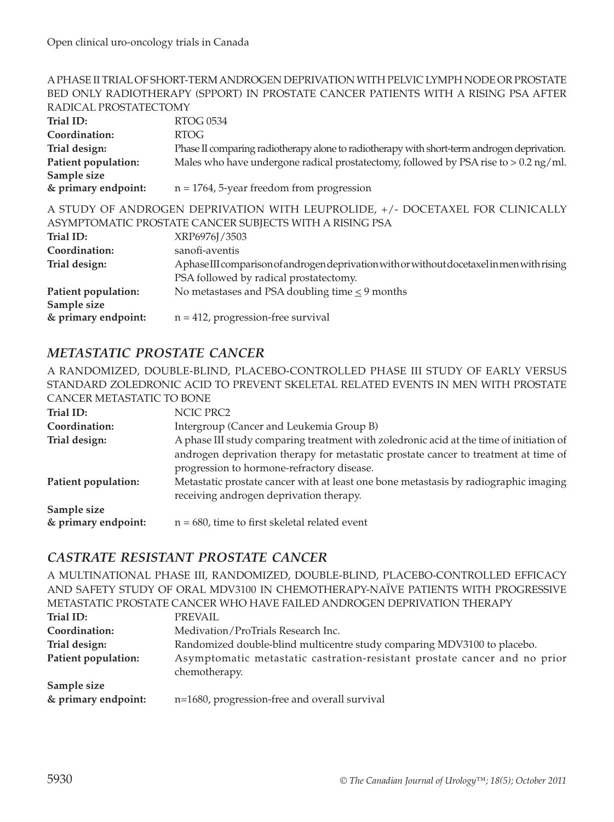# A PHASE II TRIAL OF SHORT-TERM ANDROGEN DEPRIVATION WITH PELVIC LYMPH NODE OR PROSTATE BED ONLY RADIOTHERAPY (SPPORT) IN PROSTATE CANCER PATIENTS WITH A RISING PSA AFTER

| RADICAL PROSTATECTOMY                                                                                                                    |
|------------------------------------------------------------------------------------------------------------------------------------------|
| <b>RTOG 0534</b>                                                                                                                         |
| <b>RTOG</b>                                                                                                                              |
| Phase II comparing radiotherapy alone to radiotherapy with short-term androgen deprivation.                                              |
| Males who have undergone radical prostatectomy, followed by PSA rise to $> 0.2$ ng/ml.                                                   |
|                                                                                                                                          |
| $n = 1764$ , 5-year freedom from progression                                                                                             |
| A STUDY OF ANDROGEN DEPRIVATION WITH LEUPROLIDE, +/- DOCETAXEL FOR CLINICALLY<br>ASYMPTOMATIC PROSTATE CANCER SUBJECTS WITH A RISING PSA |
| XRP6976J/3503                                                                                                                            |
| sanofi-aventis                                                                                                                           |
| Aphase III comparison of androgen deprivation with or without docetaxel in men with rising                                               |
| PSA followed by radical prostatectomy.                                                                                                   |
| No metastases and PSA doubling time $\leq$ 9 months                                                                                      |
|                                                                                                                                          |
| $n = 412$ , progression-free survival                                                                                                    |
|                                                                                                                                          |

# *METASTATIC PROSTATE CANCER*

A RANDOMIZED, DOUBLE-BLIND, PLACEBO-CONTROLLED PHASE III STUDY OF EARLY VERSUS STANDARD ZOLEDRONIC ACID TO PREVENT SKELETAL RELATED EVENTS IN MEN WITH PROSTATE CANCER METASTATIC TO BONE

| NCIC PRC2                                                                                                                         |
|-----------------------------------------------------------------------------------------------------------------------------------|
| Intergroup (Cancer and Leukemia Group B)                                                                                          |
| A phase III study comparing treatment with zoledronic acid at the time of initiation of                                           |
| androgen deprivation therapy for metastatic prostate cancer to treatment at time of<br>progression to hormone-refractory disease. |
| Metastatic prostate cancer with at least one bone metastasis by radiographic imaging<br>receiving androgen deprivation therapy.   |
| $n = 680$ , time to first skeletal related event                                                                                  |
|                                                                                                                                   |

## *CASTRATE RESISTANT PROSTATE CANCER*

A MULTINATIONAL PHASE III, RANDOMIZED, DOUBLE-BLIND, PLACEBO-CONTROLLED EFFICACY AND SAFETY STUDY OF ORAL MDV3100 IN CHEMOTHERAPY-NAÏVE PATIENTS WITH PROGRESSIVE METASTATIC PROSTATE CANCER WHO HAVE FAILED ANDROGEN DEPRIVATION THERAPY

| Trial ID:           | PREVAIL                                                                   |
|---------------------|---------------------------------------------------------------------------|
| Coordination:       | Medivation/ProTrials Research Inc.                                        |
| Trial design:       | Randomized double-blind multicentre study comparing MDV3100 to placebo.   |
| Patient population: | Asymptomatic metastatic castration-resistant prostate cancer and no prior |
|                     | chemotherapy.                                                             |
| Sample size         |                                                                           |
| & primary endpoint: | n=1680, progression-free and overall survival                             |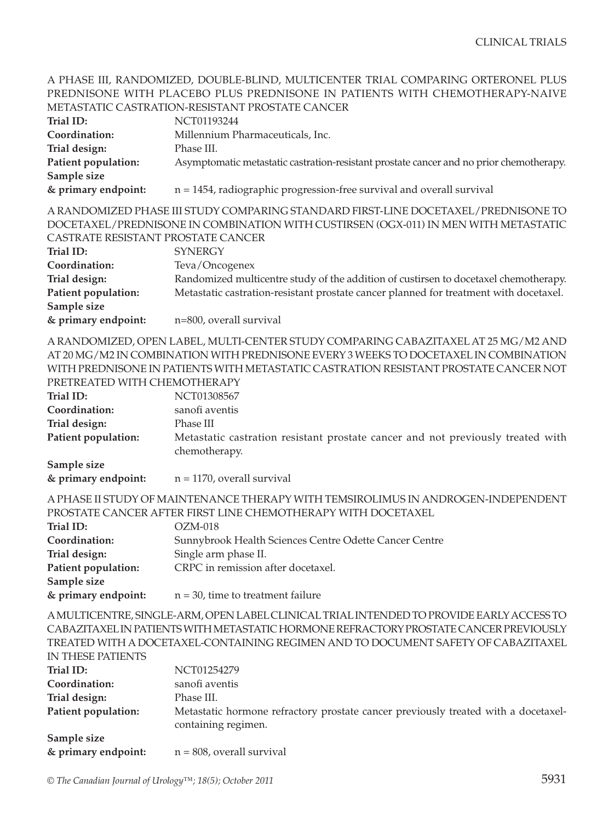#### A PHASE III, RANDOMIZED, DOUBLE-BLIND, MULTICENTER TRIAL COMPARING ORTERONEL PLUS PREDNISONE WITH PLACEBO PLUS PREDNISONE IN PATIENTS WITH CHEMOTHERAPY-NAIVE METASTATIC CASTRATION-RESISTANT PROSTATE CANCER

|                                                                                     | METAJIAHU UAJINAHUN KEJIJIAN FINUJIAHE UANUEN                                           |  |
|-------------------------------------------------------------------------------------|-----------------------------------------------------------------------------------------|--|
| Trial ID:                                                                           | NCT01193244                                                                             |  |
| Coordination:                                                                       | Millennium Pharmaceuticals, Inc.                                                        |  |
| Trial design:                                                                       | Phase III.                                                                              |  |
| Patient population:                                                                 | Asymptomatic metastatic castration-resistant prostate cancer and no prior chemotherapy. |  |
| Sample size                                                                         |                                                                                         |  |
| & primary endpoint:                                                                 | $n = 1454$ , radiographic progression-free survival and overall survival                |  |
| A RANDOMIZED PHASE III STUDY COMPARING STANDARD FIRST-LINE DOCETAXEL/PREDNISONE TO  |                                                                                         |  |
| DOCETAXEL/PREDNISONE IN COMBINATION WITH CUSTIRSEN (OGX-011) IN MEN WITH METASTATIC |                                                                                         |  |
| CASTRATE RESISTANT PROSTATE CANCER                                                  |                                                                                         |  |
| Trial ID:                                                                           | <b>SYNERGY</b>                                                                          |  |
| Coordination:                                                                       | Teva/Oncogenex                                                                          |  |
| Trial design:                                                                       | Randomized multicentre study of the addition of custirsen to docetaxel chemotherapy.    |  |
| Patient population:                                                                 | Metastatic castration-resistant prostate cancer planned for treatment with docetaxel.   |  |
| Sample size                                                                         |                                                                                         |  |
| & primary endpoint:                                                                 | n=800, overall survival                                                                 |  |

A RANDOMIZED, OPEN LABEL, MULTI-CENTER STUDY COMPARING CABAZITAXEL AT 25 MG/M2 AND AT 20 MG/M2 IN COMBINATION WITH PREDNISONE EVERY 3 WEEKS TO DOCETAXEL IN COMBINATION WITH PREDNISONE IN PATIENTS WITH METASTATIC CASTRATION RESISTANT PROSTATE CANCER NOT PRETREATED WITH CHEMOTHERAPY

| Trial ID:           | NCT01308567                                                                                      |
|---------------------|--------------------------------------------------------------------------------------------------|
| Coordination:       | sanofi aventis                                                                                   |
| Trial design:       | Phase III                                                                                        |
| Patient population: | Metastatic castration resistant prostate cancer and not previously treated with<br>chemotherapy. |
| Sample size         |                                                                                                  |

**& primary endpoint:** n = 1170, overall survival

A PHASE II STUDY OF MAINTENANCE THERAPY WITH TEMSIROLIMUS IN ANDROGEN-INDEPENDENT PROSTATE CANCER AFTER FIRST LINE CHEMOTHERAPY WITH DOCETAXEL

| Trial ID:           | $OZM-018$                                              |
|---------------------|--------------------------------------------------------|
| Coordination:       | Sunnybrook Health Sciences Centre Odette Cancer Centre |
| Trial design:       | Single arm phase II.                                   |
| Patient population: | CRPC in remission after docetaxel.                     |
| Sample size         |                                                        |
| & primary endpoint: | $n = 30$ , time to treatment failure                   |

A MULTICENTRE, SINGLE-ARM, OPEN LABEL CLINICAL TRIAL INTENDED TO PROVIDE EARLY ACCESS TO CABAZITAXEL IN PATIENTS WITH METASTATIC HORMONE REFRACTORY PROSTATE CANCER PREVIOUSLY TREATED WITH A DOCETAXEL-CONTAINING REGIMEN AND TO DOCUMENT SAFETY OF CABAZITAXEL

| IN THESE PATIENTS   |                                                                                                           |
|---------------------|-----------------------------------------------------------------------------------------------------------|
| Trial ID:           | NCT01254279                                                                                               |
| Coordination:       | sanofi aventis                                                                                            |
| Trial design:       | Phase III.                                                                                                |
| Patient population: | Metastatic hormone refractory prostate cancer previously treated with a docetaxel-<br>containing regimen. |
| Sample size         |                                                                                                           |
| & primary endpoint: | $n = 808$ , overall survival                                                                              |